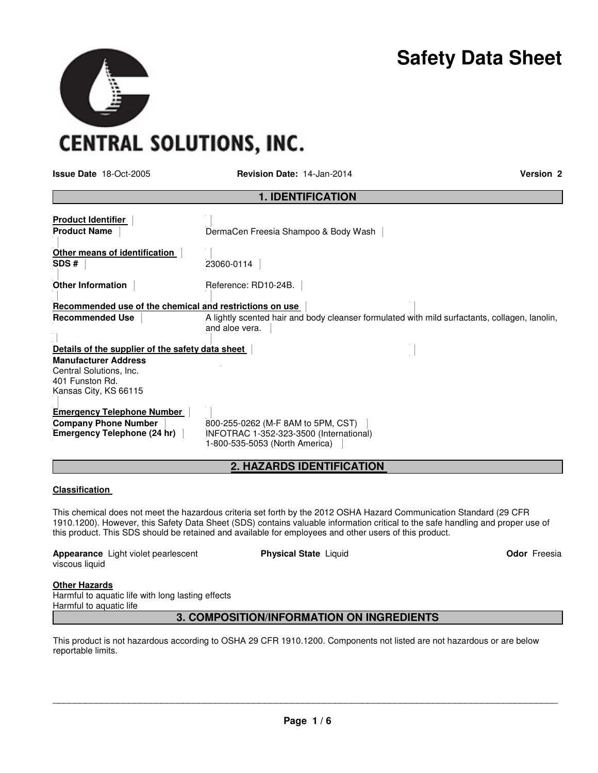# **Safety Data Sheet**

**CENTRAL SOLUTIONS, INC.** 

**Issue Date** 18-Oct-2005 **Revision Date:** 14-Jan-2014 **Version 2**

| <b>1. IDENTIFICATION</b>                                                                           |                                                                                                                 |  |  |  |  |
|----------------------------------------------------------------------------------------------------|-----------------------------------------------------------------------------------------------------------------|--|--|--|--|
| <b>Product Identifier</b><br><b>Product Name</b>                                                   | DermaCen Freesia Shampoo & Body Wash                                                                            |  |  |  |  |
| Other means of identification<br>SDS#                                                              | 23060-0114                                                                                                      |  |  |  |  |
| <b>Other Information</b>                                                                           | Reference: RD10-24B.                                                                                            |  |  |  |  |
| Recommended use of the chemical and restrictions on use                                            |                                                                                                                 |  |  |  |  |
| <b>Recommended Use</b>                                                                             | A lightly scented hair and body cleanser formulated with mild surfactants, collagen, lanolin,<br>and aloe vera. |  |  |  |  |
| Details of the supplier of the safety data sheet                                                   |                                                                                                                 |  |  |  |  |
| <b>Manufacturer Address</b><br>Central Solutions, Inc.<br>401 Funston Rd.<br>Kansas City, KS 66115 |                                                                                                                 |  |  |  |  |
| <b>Emergency Telephone Number</b><br><b>Company Phone Number</b><br>Emergency Telephone (24 hr)    | 800-255-0262 (M-F 8AM to 5PM, CST)<br>INFOTRAC 1-352-323-3500 (International)<br>1-800-535-5053 (North America) |  |  |  |  |

# **2. HAZARDS IDENTIFICATION**

#### **Classification**

This chemical does not meet the hazardous criteria set forth by the 2012 OSHA Hazard Communication Standard (29 CFR 1910.1200). However, this Safety Data Sheet (SDS) contains valuable information critical to the safe handling and proper use of this product. This SDS should be retained and available for employees and other users of this product.

**Appearance** Light violet pearlescent viscous liquid

**Physical State Liquid Contract Contract Contract Contract Contract Contract Contract Contract Contract Contract Contract Contract Contract Contract Contract Contract Contract Contract Contract Contract Contract Contract C** 

## **Other Hazards**

Harmful to aquatic life with long lasting effects Harmful to aquatic life

# **3. COMPOSITION/INFORMATION ON INGREDIENTS**

This product is not hazardous according to OSHA 29 CFR 1910.1200. Components not listed are not hazardous or are below reportable limits.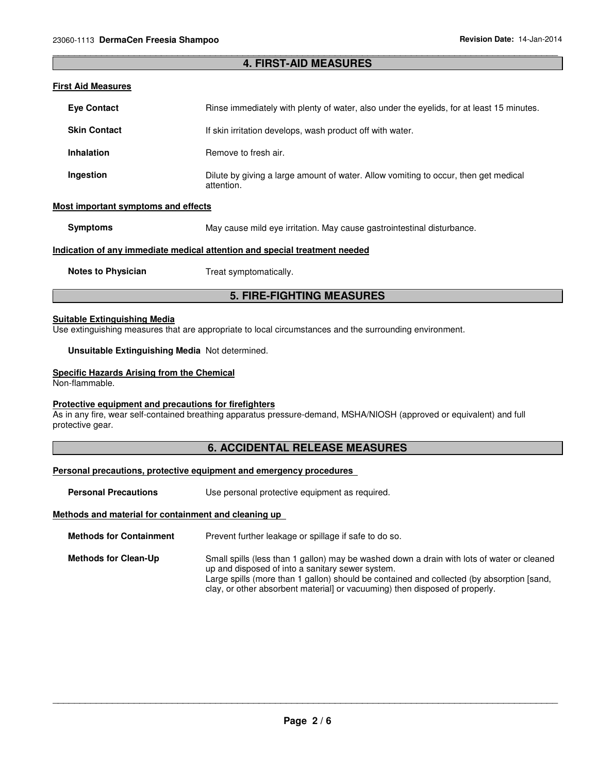#### \_\_\_\_\_\_\_\_\_\_\_\_\_\_\_\_\_\_\_\_\_\_\_\_\_\_\_\_\_\_\_\_\_\_\_\_\_\_\_\_\_\_\_\_\_\_\_\_\_\_\_\_\_\_\_\_\_\_\_\_\_\_\_\_\_\_\_\_\_\_\_\_\_\_\_\_\_\_\_\_\_\_\_\_\_\_\_\_\_\_\_\_\_ **4. FIRST-AID MEASURES**

#### **First Aid Measures**

| <b>Eve Contact</b>                                                         | Rinse immediately with plenty of water, also under the evelids, for at least 15 minutes.          |  |  |  |
|----------------------------------------------------------------------------|---------------------------------------------------------------------------------------------------|--|--|--|
| <b>Skin Contact</b>                                                        | If skin irritation develops, wash product off with water.                                         |  |  |  |
| <b>Inhalation</b>                                                          | Remove to fresh air.                                                                              |  |  |  |
| Ingestion                                                                  | Dilute by giving a large amount of water. Allow vomiting to occur, then get medical<br>attention. |  |  |  |
| Most important symptoms and effects                                        |                                                                                                   |  |  |  |
| <b>Symptoms</b>                                                            | May cause mild eye irritation. May cause gastrointestinal disturbance.                            |  |  |  |
| Indication of any immediate medical attention and special treatment needed |                                                                                                   |  |  |  |

**Notes to Physician Treat symptomatically.** 

# **5. FIRE-FIGHTING MEASURES**

#### **Suitable Extinguishing Media**

Use extinguishing measures that are appropriate to local circumstances and the surrounding environment.

**Unsuitable Extinguishing Media** Not determined.

#### **Specific Hazards Arising from the Chemical**

Non-flammable.

#### **Protective equipment and precautions for firefighters**

As in any fire, wear self-contained breathing apparatus pressure-demand, MSHA/NIOSH (approved or equivalent) and full protective gear.

#### **6. ACCIDENTAL RELEASE MEASURES**

#### **Personal precautions, protective equipment and emergency procedures**

**Personal Precautions Use personal protective equipment as required.** 

#### **Methods and material for containment and cleaning up**

**Methods for Containment** Prevent further leakage or spillage if safe to do so.

**Methods for Clean-Up** Small spills (less than 1 gallon) may be washed down a drain with lots of water or cleaned up and disposed of into a sanitary sewer system. Large spills (more than 1 gallon) should be contained and collected (by absorption [sand, clay, or other absorbent material] or vacuuming) then disposed of properly.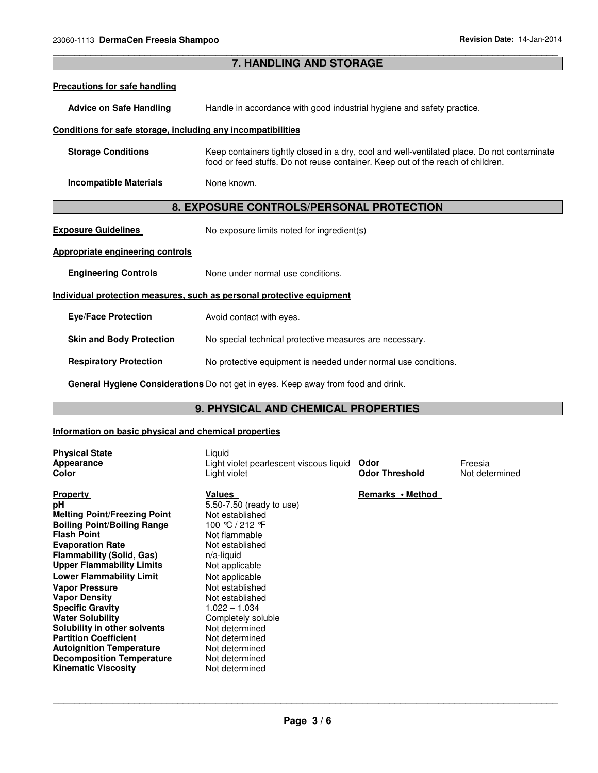| <b>7. HANDLING AND STORAGE</b>                                        |                                                                                                                                                                                |  |  |  |
|-----------------------------------------------------------------------|--------------------------------------------------------------------------------------------------------------------------------------------------------------------------------|--|--|--|
| <b>Precautions for safe handling</b>                                  |                                                                                                                                                                                |  |  |  |
| <b>Advice on Safe Handling</b>                                        | Handle in accordance with good industrial hygiene and safety practice.                                                                                                         |  |  |  |
| Conditions for safe storage, including any incompatibilities          |                                                                                                                                                                                |  |  |  |
| <b>Storage Conditions</b>                                             | Keep containers tightly closed in a dry, cool and well-ventilated place. Do not contaminate<br>food or feed stuffs. Do not reuse container. Keep out of the reach of children. |  |  |  |
| <b>Incompatible Materials</b>                                         | None known.                                                                                                                                                                    |  |  |  |
| 8. EXPOSURE CONTROLS/PERSONAL PROTECTION                              |                                                                                                                                                                                |  |  |  |
| <b>Exposure Guidelines</b>                                            | No exposure limits noted for ingredient(s)                                                                                                                                     |  |  |  |
| <b>Appropriate engineering controls</b>                               |                                                                                                                                                                                |  |  |  |
| <b>Engineering Controls</b>                                           | None under normal use conditions.                                                                                                                                              |  |  |  |
| Individual protection measures, such as personal protective equipment |                                                                                                                                                                                |  |  |  |
| <b>Eye/Face Protection</b>                                            | Avoid contact with eyes.                                                                                                                                                       |  |  |  |
| <b>Skin and Body Protection</b>                                       | No special technical protective measures are necessary.                                                                                                                        |  |  |  |
| <b>Respiratory Protection</b>                                         | No protective equipment is needed under normal use conditions.                                                                                                                 |  |  |  |
|                                                                       | General Hygiene Considerations Do not get in eyes. Keep away from food and drink.                                                                                              |  |  |  |

\_\_\_\_\_\_\_\_\_\_\_\_\_\_\_\_\_\_\_\_\_\_\_\_\_\_\_\_\_\_\_\_\_\_\_\_\_\_\_\_\_\_\_\_\_\_\_\_\_\_\_\_\_\_\_\_\_\_\_\_\_\_\_\_\_\_\_\_\_\_\_\_\_\_\_\_\_\_\_\_\_\_\_\_\_\_\_\_\_\_\_\_\_

# **9. PHYSICAL AND CHEMICAL PROPERTIES**

# **Information on basic physical and chemical properties**

| <b>Physical State</b><br>Appearance<br>Color                                                                                                                                                                                                                                                                                                                                                                                                                                                                                               | Liquid<br>Light violet pearlescent viscous liquid<br>Light violet                                                                                                                                                                                                                                                                        | Odor<br><b>Odor Threshold</b> | Freesia<br>Not determined |
|--------------------------------------------------------------------------------------------------------------------------------------------------------------------------------------------------------------------------------------------------------------------------------------------------------------------------------------------------------------------------------------------------------------------------------------------------------------------------------------------------------------------------------------------|------------------------------------------------------------------------------------------------------------------------------------------------------------------------------------------------------------------------------------------------------------------------------------------------------------------------------------------|-------------------------------|---------------------------|
| <b>Property</b><br>рH<br><b>Melting Point/Freezing Point</b><br><b>Boiling Point/Boiling Range</b><br><b>Flash Point</b><br><b>Evaporation Rate</b><br><b>Flammability (Solid, Gas)</b><br><b>Upper Flammability Limits</b><br><b>Lower Flammability Limit</b><br><b>Vapor Pressure</b><br><b>Vapor Density</b><br><b>Specific Gravity</b><br><b>Water Solubility</b><br>Solubility in other solvents<br><b>Partition Coefficient</b><br><b>Autoignition Temperature</b><br><b>Decomposition Temperature</b><br><b>Kinematic Viscosity</b> | Values<br>5.50-7.50 (ready to use)<br>Not established<br>100 ℃ / 212 F<br>Not flammable<br>Not established<br>$n/a$ -liquid<br>Not applicable<br>Not applicable<br>Not established<br>Not established<br>$1.022 - 1.034$<br>Completely soluble<br>Not determined<br>Not determined<br>Not determined<br>Not determined<br>Not determined | Remarks • Method              |                           |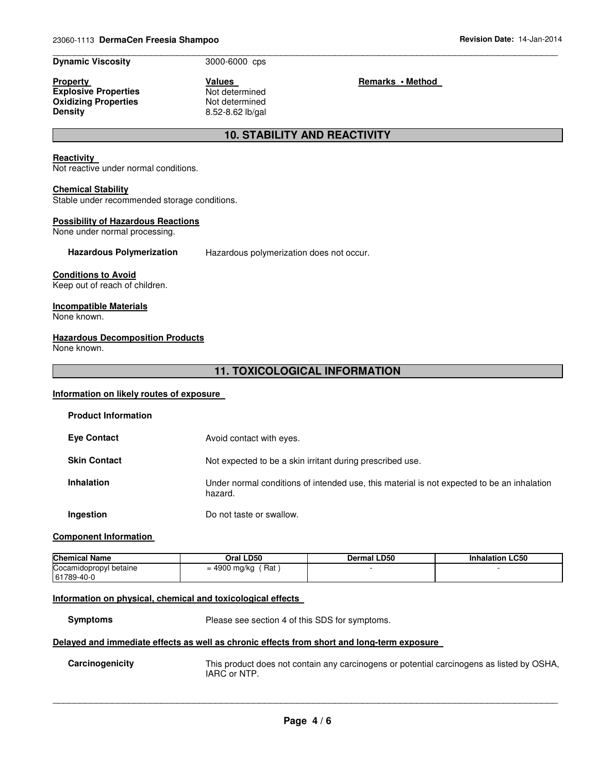#### **Dynamic Viscosity** 3000-6000 cps

**Property Construction Construction Construction Values Construction Construction Remarks • Method Explosive Properties Not determined Oxidizing Properties Not determined**<br> **Density 8.52-8.62** lb/gal

\_\_\_\_\_\_\_\_\_\_\_\_\_\_\_\_\_\_\_\_\_\_\_\_\_\_\_\_\_\_\_\_\_\_\_\_\_\_\_\_\_\_\_\_\_\_\_\_\_\_\_\_\_\_\_\_\_\_\_\_\_\_\_\_\_\_\_\_\_\_\_\_\_\_\_\_\_\_\_\_\_\_\_\_\_\_\_\_\_\_\_\_\_

**Density** 8.52-8.62 lb/gal

# **10. STABILITY AND REACTIVITY**

#### **Reactivity**

Not reactive under normal conditions.

#### **Chemical Stability**

Stable under recommended storage conditions.

#### **Possibility of Hazardous Reactions**

None under normal processing.

**Hazardous Polymerization** Hazardous polymerization does not occur.

#### **Conditions to Avoid**

Keep out of reach of children.

#### **Incompatible Materials**

None known.

#### **Hazardous Decomposition Products**

None known.

# **11. TOXICOLOGICAL INFORMATION**

#### **Information on likely routes of exposure**

| <b>Product Information</b> |                                                                                                       |
|----------------------------|-------------------------------------------------------------------------------------------------------|
| <b>Eye Contact</b>         | Avoid contact with eyes.                                                                              |
| <b>Skin Contact</b>        | Not expected to be a skin irritant during prescribed use.                                             |
| <b>Inhalation</b>          | Under normal conditions of intended use, this material is not expected to be an inhalation<br>hazard. |
| Ingestion                  | Do not taste or swallow.                                                                              |

#### **Component Information**

| <b>Chemical Name</b>                 | Oral LD50           | <b>Dermal LD50</b> | <b>Inhalation LC50</b> |
|--------------------------------------|---------------------|--------------------|------------------------|
| Cocamidopropyl betaine<br>61789-40-0 | Rat<br>= 4900 mg/kg |                    |                        |

## **Information on physical, chemical and toxicological effects**

**Symptoms** Please see section 4 of this SDS for symptoms.

#### **Delayed and immediate effects as well as chronic effects from short and long-term exposure**

**Carcinogenicity** This product does not contain any carcinogens or potential carcinogens as listed by OSHA, IARC or NTP.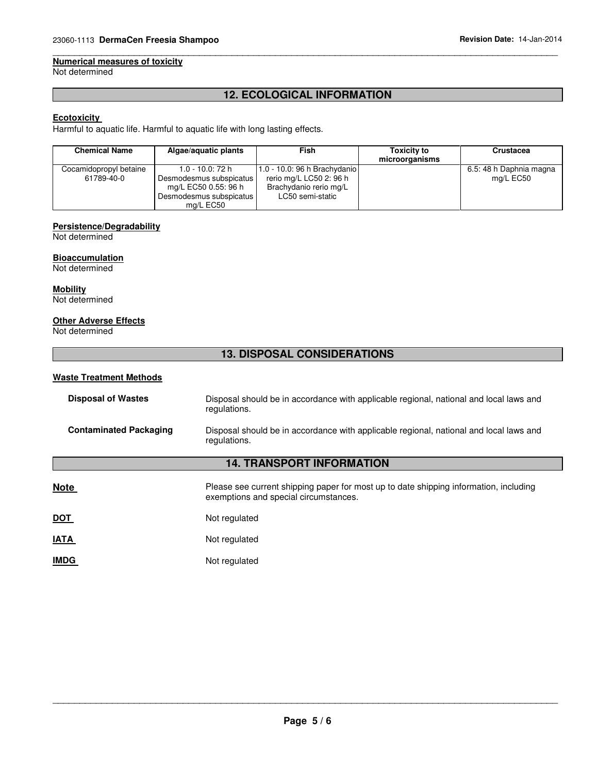#### \_\_\_\_\_\_\_\_\_\_\_\_\_\_\_\_\_\_\_\_\_\_\_\_\_\_\_\_\_\_\_\_\_\_\_\_\_\_\_\_\_\_\_\_\_\_\_\_\_\_\_\_\_\_\_\_\_\_\_\_\_\_\_\_\_\_\_\_\_\_\_\_\_\_\_\_\_\_\_\_\_\_\_\_\_\_\_\_\_\_\_\_\_ **Numerical measures of toxicity**

Not determined

# **12. ECOLOGICAL INFORMATION**

# **Ecotoxicity**

Harmful to aquatic life. Harmful to aquatic life with long lasting effects.

| <b>Chemical Name</b>                 | Algae/aguatic plants                                                                                           | Fish                                                                                                  | <b>Toxicity to</b><br>microorganisms | Crustacea                            |
|--------------------------------------|----------------------------------------------------------------------------------------------------------------|-------------------------------------------------------------------------------------------------------|--------------------------------------|--------------------------------------|
| Cocamidopropyl betaine<br>61789-40-0 | $1.0 - 10.0$ : 72 h<br>Desmodesmus subspicatus<br>mg/L EC50 0.55: 96 h<br>Desmodesmus subspicatus<br>mg/L EC50 | 1.0 - 10.0: 96 h Brachydanio<br>rerio mg/L LC50 2: 96 h<br>Brachydanio rerio mg/L<br>LC50 semi-static |                                      | 6.5: 48 h Daphnia magna<br>mg/L EC50 |

#### **Persistence/Degradability**

Not determined

#### **Bioaccumulation**

Not determined

# **Mobility**

Not determined

# **Other Adverse Effects**

Not determined

# **13. DISPOSAL CONSIDERATIONS**

#### **Waste Treatment Methods**

| <b>Disposal of Wastes</b>     | Disposal should be in accordance with applicable regional, national and local laws and<br>regulations. |
|-------------------------------|--------------------------------------------------------------------------------------------------------|
| <b>Contaminated Packaging</b> | Disposal should be in accordance with applicable regional, national and local laws and<br>regulations. |

# **14. TRANSPORT INFORMATION**

| Please see current shipping paper for most up to date shipping information, including<br>exemptions and special circumstances. |
|--------------------------------------------------------------------------------------------------------------------------------|
| Not regulated                                                                                                                  |
| Not regulated                                                                                                                  |
| Not regulated                                                                                                                  |
|                                                                                                                                |